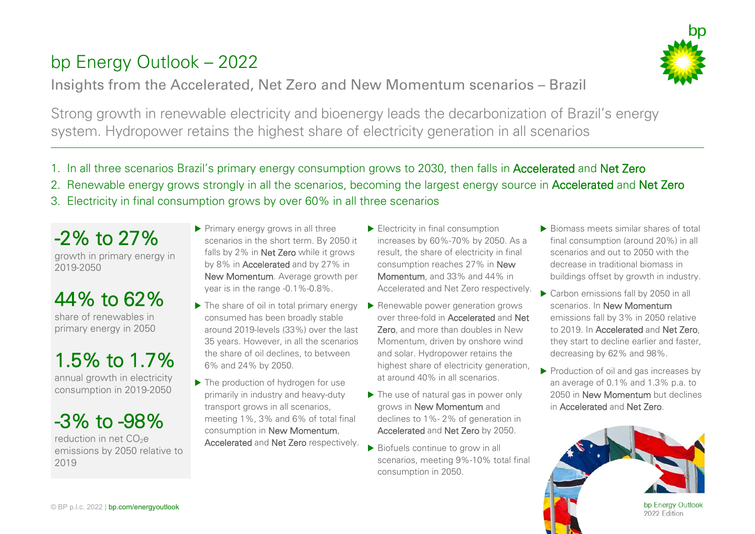## bp Energy Outlook – 2022





- 1. In all three scenarios Brazil's primary energy consumption grows to 2030, then falls in Accelerated and Net Zero
- 2. Renewable energy grows strongly in all the scenarios, becoming the largest energy source in Accelerated and Net Zero
- 3. Electricity in final consumption grows by over 60% in all three scenarios

-2% to 27% growth in primary energy in 2019-2050

## 44% to  $62\%$

primary energy in 2050

1.5% to 1.7% annual growth in electricity

consumption in 2019-2050

 $-3\%$  to  $-98\%$ 

emissions by 2050 relative to 2019

- Primary energy grows in all three scenarios in the short term. By 2050 it falls by 2% in Net Zero while it grows by 8% in Accelerated and by 27% in New Momentum. Average growth per year is in the range -0.1%-0.8%.
- $\blacktriangleright$  The share of oil in total primary energy consumed has been broadly stable around 2019-levels (33%) over the last 35 years. However, in all the scenarios the share of oil declines, to between 6% and 24% by 2050.
- ▶ The production of hydrogen for use primarily in industry and heavy-duty transport grows in all scenarios, meeting 1%, 3% and 6% of total final consumption in New Momentum, Accelerated and Net Zero respectively.
- Electricity in final consumption increases by 60%-70% by 2050. As a result, the share of electricity in final consumption reaches 27% in New Momentum, and 33% and 44% in Accelerated and Net Zero respectively.
- ▶ Renewable power generation grows over three-fold in Accelerated and Net Zero, and more than doubles in New Momentum, driven by onshore wind and solar. Hydropower retains the highest share of electricity generation, at around 40% in all scenarios.
- ▶ The use of natural gas in power only grows in New Momentum and declines to 1%- 2% of generation in Accelerated and Net Zero by 2050.
- ▶ Biofuels continue to grow in all scenarios, meeting 9%-10% total final consumption in 2050.

 $\blacktriangleright$  Biomass meets similar shares of total final consumption (around 20%) in all scenarios and out to 2050 with the decrease in traditional biomass in buildings offset by growth in industry.

bn

- ▶ Carbon emissions fall by 2050 in all scenarios. In New Momentum emissions fall by 3% in 2050 relative to 2019. In Accelerated and Net Zero, they start to decline earlier and faster, decreasing by 62% and 98%.
- Production of oil and gas increases by an average of 0.1% and 1.3% p.a. to 2050 in New Momentum but declines in Accelerated and Net Zero.